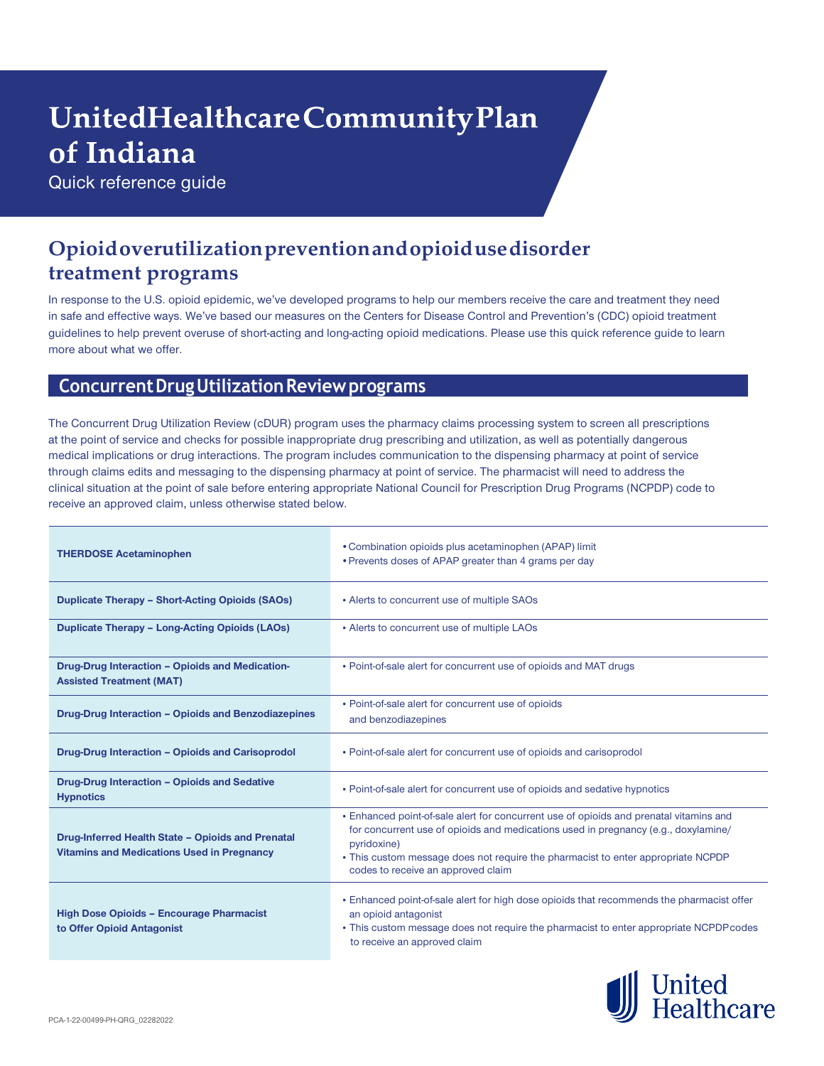# UnitedHealthcareCommunityPlan of Indiana

Quick reference guide

# **Opioidoverutilizationpreventionandopioidusedisorder treatment programs**

In response to the U.S. opioid epidemic, we've developed programs to help our members receive the care and treatment they need in safe and effective ways. We've based our measures on the Centers for Disease Control and Prevention's (CDC) opioid treatment guidelines to help prevent overuse of short-acting and long-acting opioid medications. Please use this quick reference guide to learn more about what we offer.

#### **ConcurrentDrugUtilizationReviewprograms**

The Concurrent Drug Utilization Review (cDUR) program uses the pharmacy claims processing system to screen all prescriptions at the point of service and checks for possible inappropriate drug prescribing and utilization, as well as potentially dangerous medical implications or drug interactions. The program includes communication to the dispensing pharmacy at point of service through claims edits and messaging to the dispensing pharmacy at point of service. The pharmacist will need to address the clinical situation at the point of sale before entering appropriate National Council for Prescription Drug Programs (NCPDP) code to receive an approved claim, unless otherwise stated below.

| <b>THERDOSE Acetaminophen</b>                                                                          | • Combination opioids plus acetaminophen (APAP) limit<br>• Prevents doses of APAP greater than 4 grams per day                                                                                                                                                                                                        |  |
|--------------------------------------------------------------------------------------------------------|-----------------------------------------------------------------------------------------------------------------------------------------------------------------------------------------------------------------------------------------------------------------------------------------------------------------------|--|
| <b>Duplicate Therapy - Short-Acting Opioids (SAOs)</b>                                                 | • Alerts to concurrent use of multiple SAOs                                                                                                                                                                                                                                                                           |  |
| <b>Duplicate Therapy - Long-Acting Opioids (LAOs)</b>                                                  | • Alerts to concurrent use of multiple LAOs                                                                                                                                                                                                                                                                           |  |
| Drug-Drug Interaction - Opioids and Medication-<br><b>Assisted Treatment (MAT)</b>                     | • Point-of-sale alert for concurrent use of opioids and MAT drugs                                                                                                                                                                                                                                                     |  |
| Drug-Drug Interaction - Opioids and Benzodiazepines                                                    | • Point-of-sale alert for concurrent use of opioids<br>and benzodiazepines                                                                                                                                                                                                                                            |  |
| Drug-Drug Interaction - Opioids and Carisoprodol                                                       | • Point-of-sale alert for concurrent use of opioids and carisoprodol                                                                                                                                                                                                                                                  |  |
| Drug-Drug Interaction - Opioids and Sedative<br><b>Hypnotics</b>                                       | • Point-of-sale alert for concurrent use of opioids and sedative hypnotics                                                                                                                                                                                                                                            |  |
| Drug-Inferred Health State - Opioids and Prenatal<br><b>Vitamins and Medications Used in Pregnancy</b> | • Enhanced point-of-sale alert for concurrent use of opioids and prenatal vitamins and<br>for concurrent use of opioids and medications used in pregnancy (e.g., doxylamine/<br>pyridoxine)<br>• This custom message does not require the pharmacist to enter appropriate NCPDP<br>codes to receive an approved claim |  |
| <b>High Dose Opioids - Encourage Pharmacist</b><br>to Offer Opioid Antagonist                          | • Enhanced point-of-sale alert for high dose opioids that recommends the pharmacist offer<br>an opioid antagonist<br>• This custom message does not require the pharmacist to enter appropriate NCPDP codes<br>to receive an approved claim                                                                           |  |

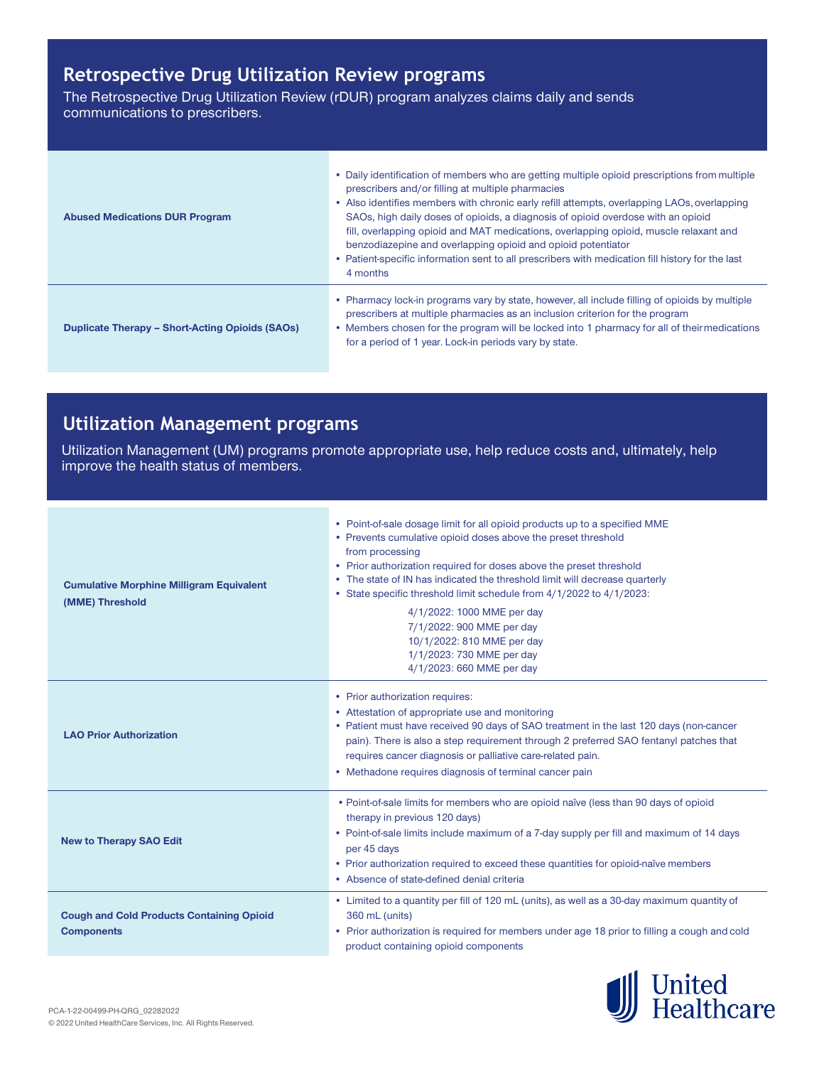# **Retrospective Drug Utilization Review programs**

The Retrospective Drug Utilization Review (rDUR) program analyzes claims daily and sends communications to prescribers.

| <b>Abused Medications DUR Program</b>                  | • Daily identification of members who are getting multiple opioid prescriptions from multiple<br>prescribers and/or filling at multiple pharmacies<br>• Also identifies members with chronic early refill attempts, overlapping LAOs, overlapping<br>SAOs, high daily doses of opioids, a diagnosis of opioid overdose with an opioid<br>fill, overlapping opioid and MAT medications, overlapping opioid, muscle relaxant and<br>benzodiazepine and overlapping opioid and opioid potentiator<br>. Patient-specific information sent to all prescribers with medication fill history for the last<br>4 months |
|--------------------------------------------------------|----------------------------------------------------------------------------------------------------------------------------------------------------------------------------------------------------------------------------------------------------------------------------------------------------------------------------------------------------------------------------------------------------------------------------------------------------------------------------------------------------------------------------------------------------------------------------------------------------------------|
| <b>Duplicate Therapy - Short-Acting Opioids (SAOs)</b> | • Pharmacy lock-in programs vary by state, however, all include filling of opioids by multiple<br>prescribers at multiple pharmacies as an inclusion criterion for the program<br>• Members chosen for the program will be locked into 1 pharmacy for all of their medications<br>for a period of 1 year. Lock-in periods vary by state.                                                                                                                                                                                                                                                                       |

# **Utilization Management programs**

Utilization Management (UM) programs promote appropriate use, help reduce costs and, ultimately, help improve the health status of members.

| <b>Cumulative Morphine Milligram Equivalent</b><br>(MME) Threshold    | • Point-of-sale dosage limit for all opioid products up to a specified MME<br>• Prevents cumulative opioid doses above the preset threshold<br>from processing<br>• Prior authorization required for doses above the preset threshold<br>• The state of IN has indicated the threshold limit will decrease quarterly<br>• State specific threshold limit schedule from 4/1/2022 to 4/1/2023:<br>4/1/2022: 1000 MME per day<br>7/1/2022: 900 MME per day<br>10/1/2022: 810 MME per day<br>1/1/2023: 730 MME per day<br>4/1/2023: 660 MME per day |
|-----------------------------------------------------------------------|-------------------------------------------------------------------------------------------------------------------------------------------------------------------------------------------------------------------------------------------------------------------------------------------------------------------------------------------------------------------------------------------------------------------------------------------------------------------------------------------------------------------------------------------------|
| <b>LAO Prior Authorization</b>                                        | • Prior authorization requires:<br>• Attestation of appropriate use and monitoring<br>• Patient must have received 90 days of SAO treatment in the last 120 days (non-cancer<br>pain). There is also a step requirement through 2 preferred SAO fentanyl patches that<br>requires cancer diagnosis or palliative care-related pain.<br>• Methadone requires diagnosis of terminal cancer pain                                                                                                                                                   |
| <b>New to Therapy SAO Edit</b>                                        | . Point-of-sale limits for members who are opioid naïve (less than 90 days of opioid<br>therapy in previous 120 days)<br>• Point-of-sale limits include maximum of a 7-day supply per fill and maximum of 14 days<br>per 45 days<br>• Prior authorization required to exceed these quantities for opioid-naïve members<br>• Absence of state-defined denial criteria                                                                                                                                                                            |
| <b>Cough and Cold Products Containing Opioid</b><br><b>Components</b> | • Limited to a quantity per fill of 120 mL (units), as well as a 30-day maximum quantity of<br>360 mL (units)<br>• Prior authorization is required for members under age 18 prior to filling a cough and cold<br>product containing opioid components                                                                                                                                                                                                                                                                                           |

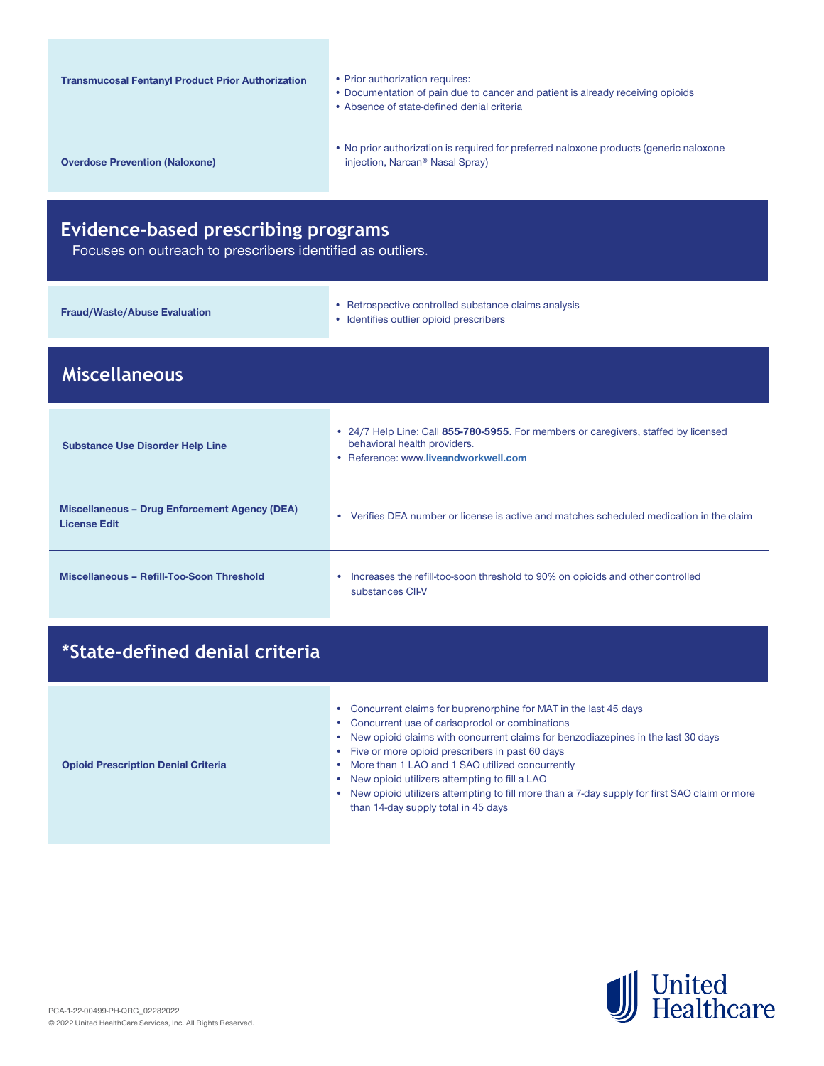| <b>Transmucosal Fentanyl Product Prior Authorization</b> | • Prior authorization requires:<br>• Documentation of pain due to cancer and patient is already receiving opioids<br>• Absence of state-defined denial criteria |
|----------------------------------------------------------|-----------------------------------------------------------------------------------------------------------------------------------------------------------------|
| <b>Overdose Prevention (Naloxone)</b>                    | • No prior authorization is required for preferred naloxone products (generic naloxone<br>injection, Narcan <sup>®</sup> Nasal Spray)                           |

# **Evidence-based prescribing programs**

Focuses on outreach to prescribers identified as outliers.

| Miscellaneous'                      |                                                                                                 |  |  |
|-------------------------------------|-------------------------------------------------------------------------------------------------|--|--|
| <b>Fraud/Waste/Abuse Evaluation</b> | • Retrospective controlled substance claims analysis<br>• Identifies outlier opioid prescribers |  |  |

| <b>Substance Use Disorder Help Line</b>                              | • 24/7 Help Line: Call 855-780-5955. For members or caregivers, staffed by licensed<br>behavioral health providers.<br>• Reference: www.liveandworkwell.com |  |
|----------------------------------------------------------------------|-------------------------------------------------------------------------------------------------------------------------------------------------------------|--|
| Miscellaneous – Drug Enforcement Agency (DEA)<br><b>License Edit</b> | Verifies DEA number or license is active and matches scheduled medication in the claim                                                                      |  |
| Miscellaneous - Refill-Too-Soon Threshold                            | Increases the refill-too-soon threshold to 90% on opioids and other controlled<br>substances CII-V                                                          |  |

# **\*State-defined denial criteria**

- Concurrent claims for buprenorphine for MAT in the last 45 days
- Concurrent use of carisoprodol or combinations
- New opioid claims with concurrent claims for benzodiazepines in the last 30 days

#### **Opioid Prescription Denial Criteria**

- Five or more opioid prescribers in past 60 days • More than 1 LAO and 1 SAO utilized concurrently
- New opioid utilizers attempting to fill a LAO
- New opioid utilizers attempting to fill more than a 7-day supply for first SAO claim ormore than 14-day supply total in 45 days